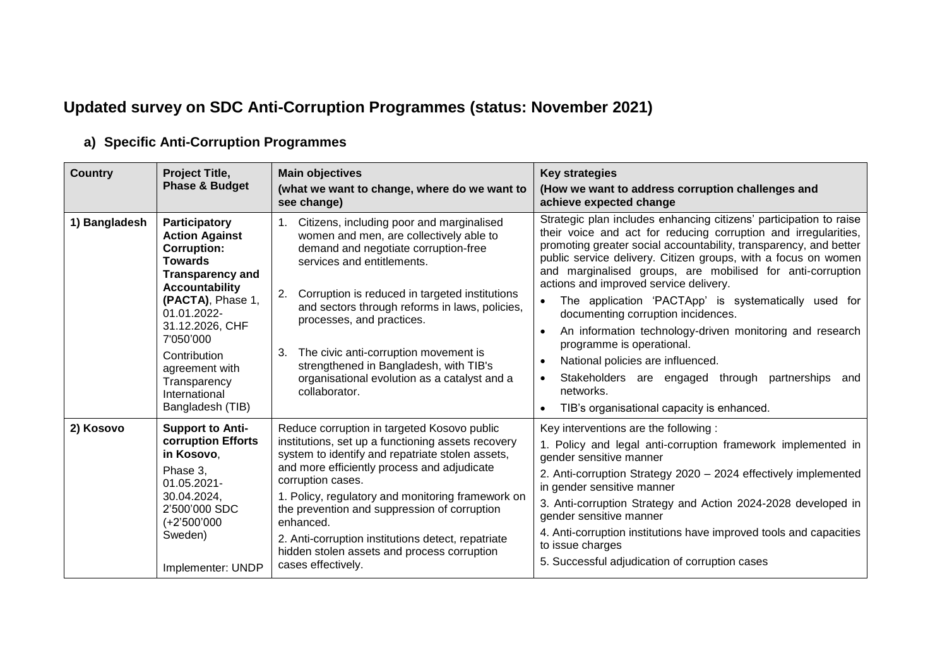## **Updated survey on SDC Anti-Corruption Programmes (status: November 2021)**

| <b>Country</b> | Project Title,                                                                                                                                                                                                                                                                                | <b>Main objectives</b>                                                                                                                                                                                                                                                                                                                                                                                                                                                     | <b>Key strategies</b>                                                                                                                                                                                                                                                                                                                                                                                                                                                                                                                                                                                                                                                                                                                                                              |
|----------------|-----------------------------------------------------------------------------------------------------------------------------------------------------------------------------------------------------------------------------------------------------------------------------------------------|----------------------------------------------------------------------------------------------------------------------------------------------------------------------------------------------------------------------------------------------------------------------------------------------------------------------------------------------------------------------------------------------------------------------------------------------------------------------------|------------------------------------------------------------------------------------------------------------------------------------------------------------------------------------------------------------------------------------------------------------------------------------------------------------------------------------------------------------------------------------------------------------------------------------------------------------------------------------------------------------------------------------------------------------------------------------------------------------------------------------------------------------------------------------------------------------------------------------------------------------------------------------|
|                | <b>Phase &amp; Budget</b>                                                                                                                                                                                                                                                                     | (what we want to change, where do we want to<br>see change)                                                                                                                                                                                                                                                                                                                                                                                                                | (How we want to address corruption challenges and<br>achieve expected change                                                                                                                                                                                                                                                                                                                                                                                                                                                                                                                                                                                                                                                                                                       |
| 1) Bangladesh  | Participatory<br><b>Action Against</b><br><b>Corruption:</b><br><b>Towards</b><br><b>Transparency and</b><br><b>Accountability</b><br>(PACTA), Phase 1,<br>01.01.2022-<br>31.12.2026, CHF<br>7'050'000<br>Contribution<br>agreement with<br>Transparency<br>International<br>Bangladesh (TIB) | Citizens, including poor and marginalised<br>$1_{\cdot}$<br>women and men, are collectively able to<br>demand and negotiate corruption-free<br>services and entitlements.<br>Corruption is reduced in targeted institutions<br>2.<br>and sectors through reforms in laws, policies,<br>processes, and practices.<br>The civic anti-corruption movement is<br>3.<br>strengthened in Bangladesh, with TIB's<br>organisational evolution as a catalyst and a<br>collaborator. | Strategic plan includes enhancing citizens' participation to raise<br>their voice and act for reducing corruption and irregularities,<br>promoting greater social accountability, transparency, and better<br>public service delivery. Citizen groups, with a focus on women<br>and marginalised groups, are mobilised for anti-corruption<br>actions and improved service delivery.<br>The application 'PACTApp' is systematically used for<br>$\bullet$<br>documenting corruption incidences.<br>An information technology-driven monitoring and research<br>$\bullet$<br>programme is operational.<br>National policies are influenced.<br>٠<br>Stakeholders are engaged through<br>partnerships<br>and<br>$\bullet$<br>networks.<br>TIB's organisational capacity is enhanced. |
| 2) Kosovo      | <b>Support to Anti-</b><br>corruption Efforts<br>in Kosovo,<br>Phase 3,<br>01.05.2021-<br>30.04.2024,<br>2'500'000 SDC<br>$(+2'500'000$<br>Sweden)<br>Implementer: UNDP                                                                                                                       | Reduce corruption in targeted Kosovo public<br>institutions, set up a functioning assets recovery<br>system to identify and repatriate stolen assets,<br>and more efficiently process and adjudicate<br>corruption cases.<br>1. Policy, regulatory and monitoring framework on<br>the prevention and suppression of corruption<br>enhanced.<br>2. Anti-corruption institutions detect, repatriate<br>hidden stolen assets and process corruption<br>cases effectively.     | Key interventions are the following:<br>1. Policy and legal anti-corruption framework implemented in<br>gender sensitive manner<br>2. Anti-corruption Strategy 2020 - 2024 effectively implemented<br>in gender sensitive manner<br>3. Anti-corruption Strategy and Action 2024-2028 developed in<br>gender sensitive manner<br>4. Anti-corruption institutions have improved tools and capacities<br>to issue charges<br>5. Successful adjudication of corruption cases                                                                                                                                                                                                                                                                                                           |

## **a) Specific Anti-Corruption Programmes**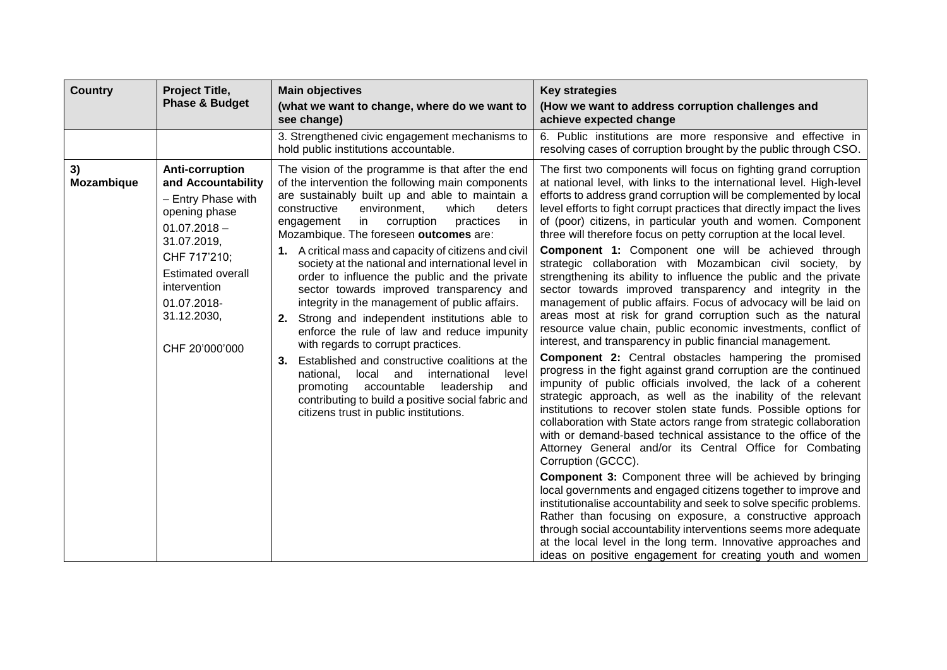| <b>Country</b>   | Project Title,                                                                                                                                                                                                     | <b>Main objectives</b>                                                                                                                                                                                                                                                                                                                                                                                                                                                                                                                                                                                                                                                                                                                                                                                                                                                                                                                                                          | <b>Key strategies</b>                                                                                                                                                                                                                                                                                                                                                                                                                                                                                                                                                                                                                                                                                                                                                                                                                                                                                                                                                                                                                                                                                                                                                                                                                                                                                                                                                                                                                                                                                                                                                                                                                                                                                                                                                                                                                                                                                                                                                                                         |
|------------------|--------------------------------------------------------------------------------------------------------------------------------------------------------------------------------------------------------------------|---------------------------------------------------------------------------------------------------------------------------------------------------------------------------------------------------------------------------------------------------------------------------------------------------------------------------------------------------------------------------------------------------------------------------------------------------------------------------------------------------------------------------------------------------------------------------------------------------------------------------------------------------------------------------------------------------------------------------------------------------------------------------------------------------------------------------------------------------------------------------------------------------------------------------------------------------------------------------------|---------------------------------------------------------------------------------------------------------------------------------------------------------------------------------------------------------------------------------------------------------------------------------------------------------------------------------------------------------------------------------------------------------------------------------------------------------------------------------------------------------------------------------------------------------------------------------------------------------------------------------------------------------------------------------------------------------------------------------------------------------------------------------------------------------------------------------------------------------------------------------------------------------------------------------------------------------------------------------------------------------------------------------------------------------------------------------------------------------------------------------------------------------------------------------------------------------------------------------------------------------------------------------------------------------------------------------------------------------------------------------------------------------------------------------------------------------------------------------------------------------------------------------------------------------------------------------------------------------------------------------------------------------------------------------------------------------------------------------------------------------------------------------------------------------------------------------------------------------------------------------------------------------------------------------------------------------------------------------------------------------------|
|                  | <b>Phase &amp; Budget</b>                                                                                                                                                                                          | (what we want to change, where do we want to<br>see change)                                                                                                                                                                                                                                                                                                                                                                                                                                                                                                                                                                                                                                                                                                                                                                                                                                                                                                                     | (How we want to address corruption challenges and<br>achieve expected change                                                                                                                                                                                                                                                                                                                                                                                                                                                                                                                                                                                                                                                                                                                                                                                                                                                                                                                                                                                                                                                                                                                                                                                                                                                                                                                                                                                                                                                                                                                                                                                                                                                                                                                                                                                                                                                                                                                                  |
|                  |                                                                                                                                                                                                                    | 3. Strengthened civic engagement mechanisms to<br>hold public institutions accountable.                                                                                                                                                                                                                                                                                                                                                                                                                                                                                                                                                                                                                                                                                                                                                                                                                                                                                         | 6. Public institutions are more responsive and effective in<br>resolving cases of corruption brought by the public through CSO.                                                                                                                                                                                                                                                                                                                                                                                                                                                                                                                                                                                                                                                                                                                                                                                                                                                                                                                                                                                                                                                                                                                                                                                                                                                                                                                                                                                                                                                                                                                                                                                                                                                                                                                                                                                                                                                                               |
| 3)<br>Mozambique | Anti-corruption<br>and Accountability<br>- Entry Phase with<br>opening phase<br>$01.07.2018 -$<br>31.07.2019,<br>CHF 717'210;<br>Estimated overall<br>intervention<br>01.07.2018-<br>31.12.2030,<br>CHF 20'000'000 | The vision of the programme is that after the end<br>of the intervention the following main components<br>are sustainably built up and able to maintain a<br>constructive<br>environment.<br>which<br>deters<br>engagement<br>corruption<br>in l<br>practices<br>in<br>Mozambique. The foreseen outcomes are:<br>1. A critical mass and capacity of citizens and civil<br>society at the national and international level in<br>order to influence the public and the private<br>sector towards improved transparency and<br>integrity in the management of public affairs.<br>Strong and independent institutions able to<br>2.<br>enforce the rule of law and reduce impunity<br>with regards to corrupt practices.<br>Established and constructive coalitions at the<br>3.<br>local and<br>international<br>level<br>national.<br>promoting accountable<br>and<br>leadership<br>contributing to build a positive social fabric and<br>citizens trust in public institutions. | The first two components will focus on fighting grand corruption<br>at national level, with links to the international level. High-level<br>efforts to address grand corruption will be complemented by local<br>level efforts to fight corrupt practices that directly impact the lives<br>of (poor) citizens, in particular youth and women. Component<br>three will therefore focus on petty corruption at the local level.<br><b>Component 1:</b> Component one will be achieved through<br>strategic collaboration with Mozambican civil society, by<br>strengthening its ability to influence the public and the private<br>sector towards improved transparency and integrity in the<br>management of public affairs. Focus of advocacy will be laid on<br>areas most at risk for grand corruption such as the natural<br>resource value chain, public economic investments, conflict of<br>interest, and transparency in public financial management.<br><b>Component 2:</b> Central obstacles hampering the promised<br>progress in the fight against grand corruption are the continued<br>impunity of public officials involved, the lack of a coherent<br>strategic approach, as well as the inability of the relevant<br>institutions to recover stolen state funds. Possible options for<br>collaboration with State actors range from strategic collaboration<br>with or demand-based technical assistance to the office of the<br>Attorney General and/or its Central Office for Combating<br>Corruption (GCCC).<br><b>Component 3:</b> Component three will be achieved by bringing<br>local governments and engaged citizens together to improve and<br>institutionalise accountability and seek to solve specific problems.<br>Rather than focusing on exposure, a constructive approach<br>through social accountability interventions seems more adequate<br>at the local level in the long term. Innovative approaches and<br>ideas on positive engagement for creating youth and women |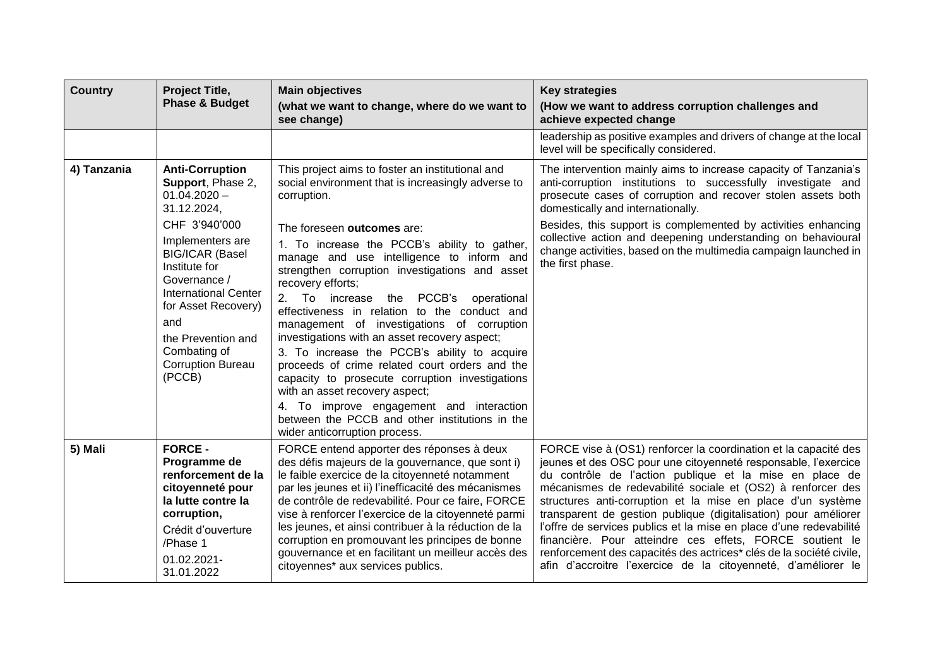| <b>Country</b> | Project Title,                                                                                                                                                                                                                        | <b>Main objectives</b>                                                                                                                                                                                                                                                                                                                                                                                                                                                                                                                                                                                                                                                                                             | <b>Key strategies</b>                                                                                                                                                                                                                                                                                                                                                                                                                                                                                                                                                                                                                                                   |
|----------------|---------------------------------------------------------------------------------------------------------------------------------------------------------------------------------------------------------------------------------------|--------------------------------------------------------------------------------------------------------------------------------------------------------------------------------------------------------------------------------------------------------------------------------------------------------------------------------------------------------------------------------------------------------------------------------------------------------------------------------------------------------------------------------------------------------------------------------------------------------------------------------------------------------------------------------------------------------------------|-------------------------------------------------------------------------------------------------------------------------------------------------------------------------------------------------------------------------------------------------------------------------------------------------------------------------------------------------------------------------------------------------------------------------------------------------------------------------------------------------------------------------------------------------------------------------------------------------------------------------------------------------------------------------|
|                | <b>Phase &amp; Budget</b>                                                                                                                                                                                                             | (what we want to change, where do we want to<br>see change)                                                                                                                                                                                                                                                                                                                                                                                                                                                                                                                                                                                                                                                        | (How we want to address corruption challenges and<br>achieve expected change                                                                                                                                                                                                                                                                                                                                                                                                                                                                                                                                                                                            |
|                |                                                                                                                                                                                                                                       |                                                                                                                                                                                                                                                                                                                                                                                                                                                                                                                                                                                                                                                                                                                    | leadership as positive examples and drivers of change at the local<br>level will be specifically considered.                                                                                                                                                                                                                                                                                                                                                                                                                                                                                                                                                            |
| 4) Tanzania    | <b>Anti-Corruption</b><br>Support, Phase 2,<br>$01.04.2020 -$<br>31.12.2024,                                                                                                                                                          | This project aims to foster an institutional and<br>social environment that is increasingly adverse to<br>corruption.                                                                                                                                                                                                                                                                                                                                                                                                                                                                                                                                                                                              | The intervention mainly aims to increase capacity of Tanzania's<br>anti-corruption institutions to successfully investigate and<br>prosecute cases of corruption and recover stolen assets both<br>domestically and internationally.                                                                                                                                                                                                                                                                                                                                                                                                                                    |
|                | CHF 3'940'000<br>Implementers are<br><b>BIG/ICAR (Basel</b><br>Institute for<br>Governance /<br><b>International Center</b><br>for Asset Recovery)<br>and<br>the Prevention and<br>Combating of<br><b>Corruption Bureau</b><br>(PCCB) | The foreseen outcomes are:<br>1. To increase the PCCB's ability to gather,<br>manage and use intelligence to inform and<br>strengthen corruption investigations and asset<br>recovery efforts;<br>To increase the PCCB's<br>2.<br>operational<br>effectiveness in relation to the conduct and<br>management of investigations of corruption<br>investigations with an asset recovery aspect;<br>3. To increase the PCCB's ability to acquire<br>proceeds of crime related court orders and the<br>capacity to prosecute corruption investigations<br>with an asset recovery aspect;<br>4. To improve engagement and interaction<br>between the PCCB and other institutions in the<br>wider anticorruption process. | Besides, this support is complemented by activities enhancing<br>collective action and deepening understanding on behavioural<br>change activities, based on the multimedia campaign launched in<br>the first phase.                                                                                                                                                                                                                                                                                                                                                                                                                                                    |
| 5) Mali        | <b>FORCE -</b><br>Programme de<br>renforcement de la<br>citoyenneté pour<br>la lutte contre la<br>corruption,<br>Crédit d'ouverture<br>/Phase 1<br>01.02.2021-<br>31.01.2022                                                          | FORCE entend apporter des réponses à deux<br>des défis majeurs de la gouvernance, que sont i)<br>le faible exercice de la citoyenneté notamment<br>par les jeunes et ii) l'inefficacité des mécanismes<br>de contrôle de redevabilité. Pour ce faire, FORCE<br>vise à renforcer l'exercice de la citoyenneté parmi<br>les jeunes, et ainsi contribuer à la réduction de la<br>corruption en promouvant les principes de bonne<br>gouvernance et en facilitant un meilleur accès des<br>citoyennes* aux services publics.                                                                                                                                                                                           | FORCE vise à (OS1) renforcer la coordination et la capacité des<br>jeunes et des OSC pour une citoyenneté responsable, l'exercice<br>du contrôle de l'action publique et la mise en place de<br>mécanismes de redevabilité sociale et (OS2) à renforcer des<br>structures anti-corruption et la mise en place d'un système<br>transparent de gestion publique (digitalisation) pour améliorer<br>l'offre de services publics et la mise en place d'une redevabilité<br>financière. Pour atteindre ces effets, FORCE soutient le<br>renforcement des capacités des actrices* clés de la société civile,<br>afin d'accroitre l'exercice de la citoyenneté, d'améliorer le |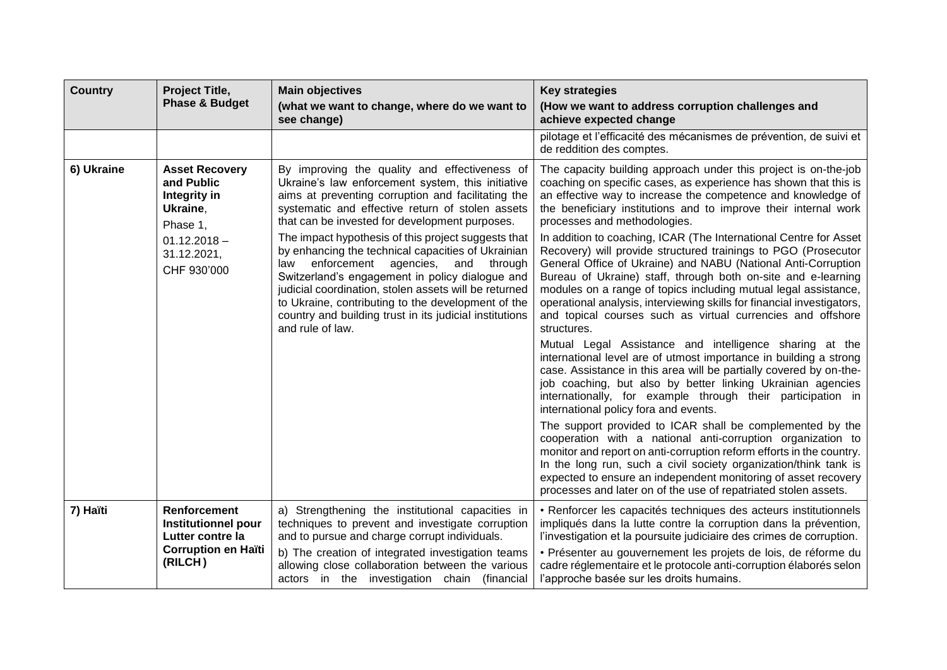| <b>Country</b> | Project Title,<br><b>Phase &amp; Budget</b>                                                             | <b>Main objectives</b>                                                                                                                                                                                                                                                                                                                                                                                          | <b>Key strategies</b>                                                                                                                                                                                                                                                                                                                                                                                                                                                                            |
|----------------|---------------------------------------------------------------------------------------------------------|-----------------------------------------------------------------------------------------------------------------------------------------------------------------------------------------------------------------------------------------------------------------------------------------------------------------------------------------------------------------------------------------------------------------|--------------------------------------------------------------------------------------------------------------------------------------------------------------------------------------------------------------------------------------------------------------------------------------------------------------------------------------------------------------------------------------------------------------------------------------------------------------------------------------------------|
|                |                                                                                                         | (what we want to change, where do we want to<br>see change)                                                                                                                                                                                                                                                                                                                                                     | (How we want to address corruption challenges and<br>achieve expected change                                                                                                                                                                                                                                                                                                                                                                                                                     |
|                |                                                                                                         |                                                                                                                                                                                                                                                                                                                                                                                                                 | pilotage et l'efficacité des mécanismes de prévention, de suivi et<br>de reddition des comptes.                                                                                                                                                                                                                                                                                                                                                                                                  |
| 6) Ukraine     | <b>Asset Recovery</b><br>and Public<br>Integrity in<br>Ukraine,<br>Phase 1,                             | By improving the quality and effectiveness of<br>Ukraine's law enforcement system, this initiative<br>aims at preventing corruption and facilitating the<br>systematic and effective return of stolen assets<br>that can be invested for development purposes.                                                                                                                                                  | The capacity building approach under this project is on-the-job<br>coaching on specific cases, as experience has shown that this is<br>an effective way to increase the competence and knowledge of<br>the beneficiary institutions and to improve their internal work<br>processes and methodologies.                                                                                                                                                                                           |
|                | $01.12.2018 -$<br>31.12.2021,<br>CHF 930'000                                                            | The impact hypothesis of this project suggests that<br>by enhancing the technical capacities of Ukrainian<br>enforcement<br>agencies,<br>and<br>through<br>law<br>Switzerland's engagement in policy dialogue and<br>judicial coordination, stolen assets will be returned<br>to Ukraine, contributing to the development of the<br>country and building trust in its judicial institutions<br>and rule of law. | In addition to coaching, ICAR (The International Centre for Asset<br>Recovery) will provide structured trainings to PGO (Prosecutor<br>General Office of Ukraine) and NABU (National Anti-Corruption<br>Bureau of Ukraine) staff, through both on-site and e-learning<br>modules on a range of topics including mutual legal assistance,<br>operational analysis, interviewing skills for financial investigators,<br>and topical courses such as virtual currencies and offshore<br>structures. |
|                |                                                                                                         |                                                                                                                                                                                                                                                                                                                                                                                                                 | Mutual Legal Assistance and intelligence sharing at the<br>international level are of utmost importance in building a strong<br>case. Assistance in this area will be partially covered by on-the-<br>job coaching, but also by better linking Ukrainian agencies<br>internationally, for example through their participation in<br>international policy fora and events.                                                                                                                        |
|                |                                                                                                         |                                                                                                                                                                                                                                                                                                                                                                                                                 | The support provided to ICAR shall be complemented by the<br>cooperation with a national anti-corruption organization to<br>monitor and report on anti-corruption reform efforts in the country.<br>In the long run, such a civil society organization/think tank is<br>expected to ensure an independent monitoring of asset recovery<br>processes and later on of the use of repatriated stolen assets.                                                                                        |
| 7) Haïti       | <b>Renforcement</b><br>Institutionnel pour<br>Lutter contre la<br><b>Corruption en Haïti</b><br>(RILCH) | a) Strengthening the institutional capacities in<br>techniques to prevent and investigate corruption<br>and to pursue and charge corrupt individuals.<br>b) The creation of integrated investigation teams<br>allowing close collaboration between the various<br>actors in the investigation chain (financial                                                                                                  | • Renforcer les capacités techniques des acteurs institutionnels<br>impliqués dans la lutte contre la corruption dans la prévention,<br>l'investigation et la poursuite judiciaire des crimes de corruption.<br>· Présenter au gouvernement les projets de lois, de réforme du<br>cadre réglementaire et le protocole anti-corruption élaborés selon<br>l'approche basée sur les droits humains.                                                                                                 |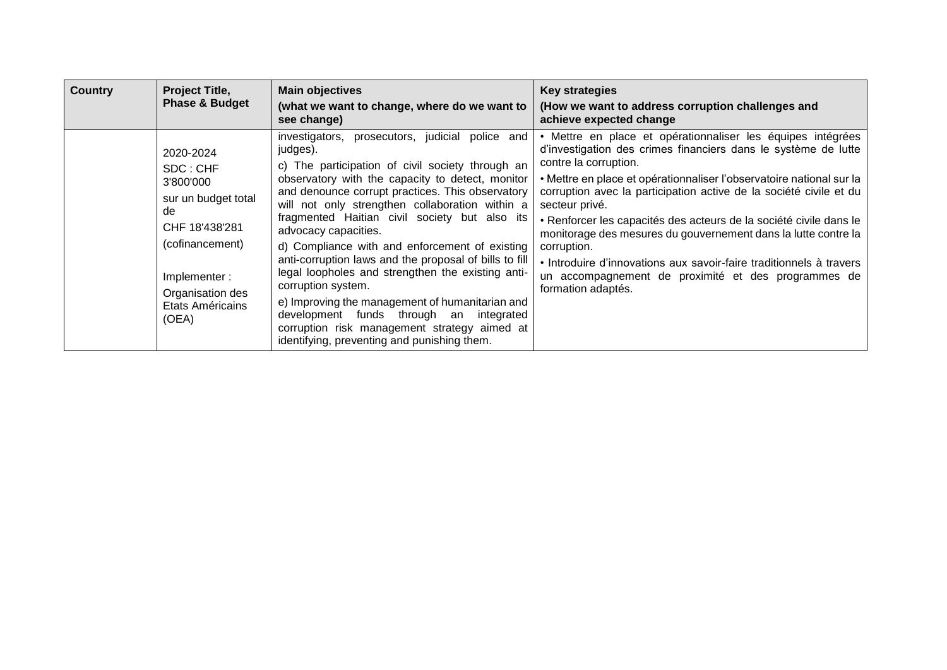| <b>Country</b> | Project Title,<br><b>Phase &amp; Budget</b>                                                                                                                           | <b>Main objectives</b>                                                                                                                                                                                                                                                                                                                                                                                                                                                                                                                                                                                                                                                                                                                     | Key strategies                                                                                                                                                                                                                                                                                                                                                                                                                                                                                                                                                                                                                    |
|----------------|-----------------------------------------------------------------------------------------------------------------------------------------------------------------------|--------------------------------------------------------------------------------------------------------------------------------------------------------------------------------------------------------------------------------------------------------------------------------------------------------------------------------------------------------------------------------------------------------------------------------------------------------------------------------------------------------------------------------------------------------------------------------------------------------------------------------------------------------------------------------------------------------------------------------------------|-----------------------------------------------------------------------------------------------------------------------------------------------------------------------------------------------------------------------------------------------------------------------------------------------------------------------------------------------------------------------------------------------------------------------------------------------------------------------------------------------------------------------------------------------------------------------------------------------------------------------------------|
|                |                                                                                                                                                                       | (what we want to change, where do we want to<br>see change)                                                                                                                                                                                                                                                                                                                                                                                                                                                                                                                                                                                                                                                                                | (How we want to address corruption challenges and<br>achieve expected change                                                                                                                                                                                                                                                                                                                                                                                                                                                                                                                                                      |
|                | 2020-2024<br>SDC: CHF<br>3'800'000<br>sur un budget total<br>de<br>CHF 18'438'281<br>(cofinancement)<br>Implementer:<br>Organisation des<br>Etats Américains<br>(OEA) | investigators, prosecutors, judicial police and<br>judges).<br>c) The participation of civil society through an<br>observatory with the capacity to detect, monitor<br>and denounce corrupt practices. This observatory<br>will not only strengthen collaboration within a<br>fragmented Haitian civil society but also its<br>advocacy capacities.<br>d) Compliance with and enforcement of existing<br>anti-corruption laws and the proposal of bills to fill<br>legal loopholes and strengthen the existing anti-<br>corruption system.<br>e) Improving the management of humanitarian and<br>development funds through an<br>integrated<br>corruption risk management strategy aimed at<br>identifying, preventing and punishing them. | · Mettre en place et opérationnaliser les équipes intégrées<br>d'investigation des crimes financiers dans le système de lutte<br>contre la corruption.<br>• Mettre en place et opérationnaliser l'observatoire national sur la<br>corruption avec la participation active de la société civile et du<br>secteur privé.<br>• Renforcer les capacités des acteurs de la société civile dans le<br>monitorage des mesures du gouvernement dans la lutte contre la<br>corruption.<br>• Introduire d'innovations aux savoir-faire traditionnels à travers<br>un accompagnement de proximité et des programmes de<br>formation adaptés. |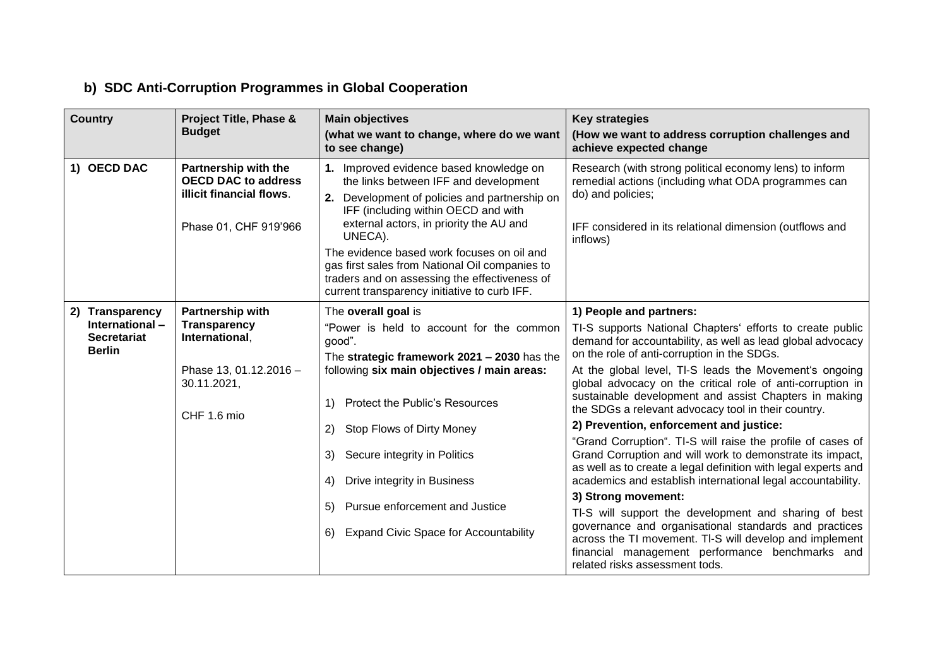## **b) SDC Anti-Corruption Programmes in Global Cooperation**

| <b>Country</b>                                                           | Project Title, Phase &<br><b>Budget</b>                                                                 | <b>Main objectives</b><br>(what we want to change, where do we want<br>to see change)                                                                                                                                                                                                                                                                                                                                           | <b>Key strategies</b><br>(How we want to address corruption challenges and<br>achieve expected change                                                                                                                                                                                                                                                                                                                                                                                                                                                                                                                                                |
|--------------------------------------------------------------------------|---------------------------------------------------------------------------------------------------------|---------------------------------------------------------------------------------------------------------------------------------------------------------------------------------------------------------------------------------------------------------------------------------------------------------------------------------------------------------------------------------------------------------------------------------|------------------------------------------------------------------------------------------------------------------------------------------------------------------------------------------------------------------------------------------------------------------------------------------------------------------------------------------------------------------------------------------------------------------------------------------------------------------------------------------------------------------------------------------------------------------------------------------------------------------------------------------------------|
| 1) OECD DAC                                                              | Partnership with the<br><b>OECD DAC to address</b><br>illicit financial flows.<br>Phase 01, CHF 919'966 | 1. Improved evidence based knowledge on<br>the links between IFF and development<br>2. Development of policies and partnership on<br>IFF (including within OECD and with<br>external actors, in priority the AU and<br>UNECA).<br>The evidence based work focuses on oil and<br>gas first sales from National Oil companies to<br>traders and on assessing the effectiveness of<br>current transparency initiative to curb IFF. | Research (with strong political economy lens) to inform<br>remedial actions (including what ODA programmes can<br>do) and policies;<br>IFF considered in its relational dimension (outflows and<br>inflows)                                                                                                                                                                                                                                                                                                                                                                                                                                          |
| 2) Transparency<br>International-<br><b>Secretariat</b><br><b>Berlin</b> | Partnership with<br><b>Transparency</b><br>International,<br>Phase 13, 01.12.2016 -<br>30.11.2021,      | The overall goal is<br>"Power is held to account for the common<br>good".<br>The strategic framework 2021 - 2030 has the<br>following six main objectives / main areas:                                                                                                                                                                                                                                                         | 1) People and partners:<br>TI-S supports National Chapters' efforts to create public<br>demand for accountability, as well as lead global advocacy<br>on the role of anti-corruption in the SDGs.<br>At the global level, TI-S leads the Movement's ongoing<br>global advocacy on the critical role of anti-corruption in<br>sustainable development and assist Chapters in making                                                                                                                                                                                                                                                                   |
|                                                                          | CHF 1.6 mio                                                                                             | <b>Protect the Public's Resources</b><br>$\left( \begin{matrix} 1 \end{matrix} \right)$<br>Stop Flows of Dirty Money<br><sup>2)</sup><br>Secure integrity in Politics<br>3)<br>Drive integrity in Business<br>4)<br>Pursue enforcement and Justice<br>5)<br><b>Expand Civic Space for Accountability</b><br>6)                                                                                                                  | the SDGs a relevant advocacy tool in their country.<br>2) Prevention, enforcement and justice:<br>"Grand Corruption". TI-S will raise the profile of cases of<br>Grand Corruption and will work to demonstrate its impact,<br>as well as to create a legal definition with legal experts and<br>academics and establish international legal accountability.<br>3) Strong movement:<br>TI-S will support the development and sharing of best<br>governance and organisational standards and practices<br>across the TI movement. TI-S will develop and implement<br>financial management performance benchmarks and<br>related risks assessment tods. |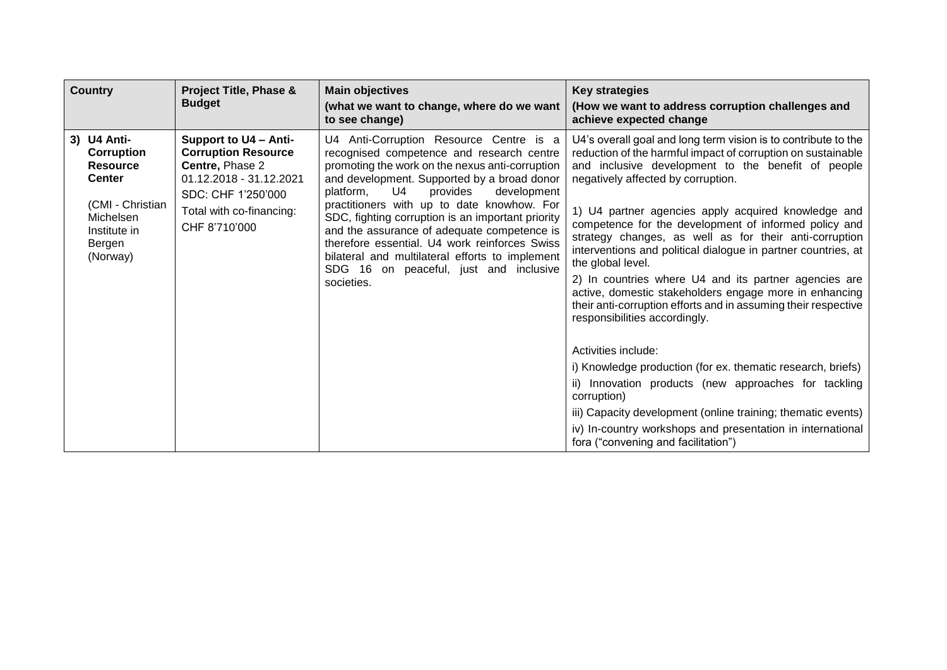| <b>Country</b>                                                                                                                       | <b>Project Title, Phase &amp;</b><br><b>Budget</b>                                                                                                                   | <b>Main objectives</b><br>(what we want to change, where do we want<br>to see change)                                                                                                                                                                                                                                                                                                                                                                                                                                                              | <b>Key strategies</b><br>(How we want to address corruption challenges and<br>achieve expected change                                                                                                                                                                                                                                                                                                                                                                                                                                                                                                                                                                                                                                                                                                                                                                                                                                                                                                                                              |
|--------------------------------------------------------------------------------------------------------------------------------------|----------------------------------------------------------------------------------------------------------------------------------------------------------------------|----------------------------------------------------------------------------------------------------------------------------------------------------------------------------------------------------------------------------------------------------------------------------------------------------------------------------------------------------------------------------------------------------------------------------------------------------------------------------------------------------------------------------------------------------|----------------------------------------------------------------------------------------------------------------------------------------------------------------------------------------------------------------------------------------------------------------------------------------------------------------------------------------------------------------------------------------------------------------------------------------------------------------------------------------------------------------------------------------------------------------------------------------------------------------------------------------------------------------------------------------------------------------------------------------------------------------------------------------------------------------------------------------------------------------------------------------------------------------------------------------------------------------------------------------------------------------------------------------------------|
| 3) U4 Anti-<br>Corruption<br><b>Resource</b><br><b>Center</b><br>(CMI - Christian<br>Michelsen<br>Institute in<br>Bergen<br>(Norway) | Support to U4 - Anti-<br><b>Corruption Resource</b><br>Centre, Phase 2<br>01.12.2018 - 31.12.2021<br>SDC: CHF 1'250'000<br>Total with co-financing:<br>CHF 8'710'000 | U4 Anti-Corruption Resource Centre is a<br>recognised competence and research centre<br>promoting the work on the nexus anti-corruption<br>and development. Supported by a broad donor<br>U4<br>platform,<br>provides<br>development<br>practitioners with up to date knowhow. For<br>SDC, fighting corruption is an important priority<br>and the assurance of adequate competence is<br>therefore essential. U4 work reinforces Swiss<br>bilateral and multilateral efforts to implement<br>SDG 16 on peaceful, just and inclusive<br>societies. | U4's overall goal and long term vision is to contribute to the<br>reduction of the harmful impact of corruption on sustainable<br>and inclusive development to the benefit of people<br>negatively affected by corruption.<br>1) U4 partner agencies apply acquired knowledge and<br>competence for the development of informed policy and<br>strategy changes, as well as for their anti-corruption<br>interventions and political dialogue in partner countries, at<br>the global level.<br>2) In countries where U4 and its partner agencies are<br>active, domestic stakeholders engage more in enhancing<br>their anti-corruption efforts and in assuming their respective<br>responsibilities accordingly.<br>Activities include:<br>i) Knowledge production (for ex. thematic research, briefs)<br>ii) Innovation products (new approaches for tackling<br>corruption)<br>iii) Capacity development (online training; thematic events)<br>iv) In-country workshops and presentation in international<br>fora ("convening and facilitation") |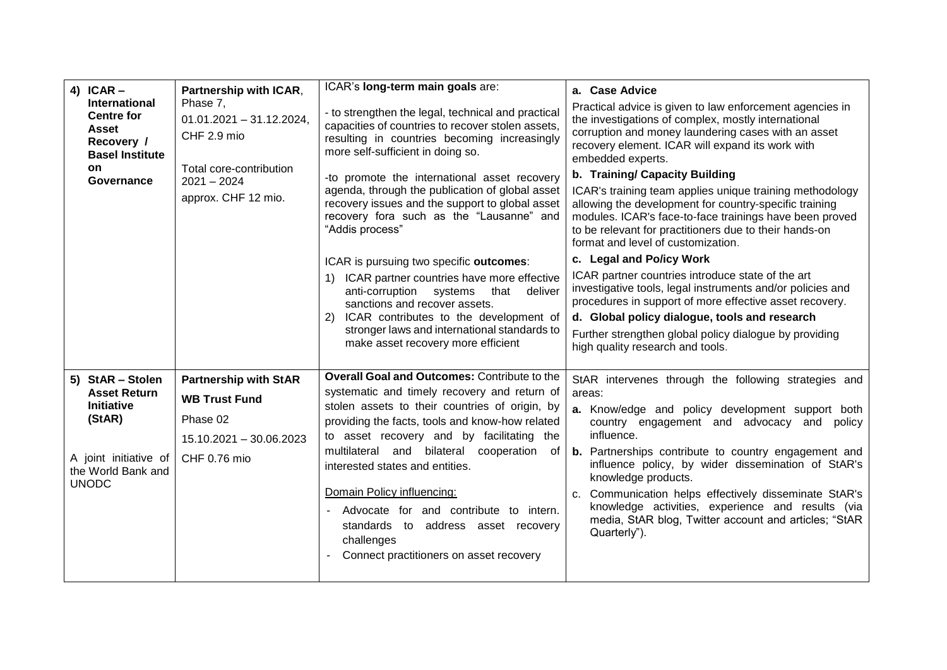| 4) ICAR $-$                                                                                       | Partnership with ICAR,                               | ICAR's long-term main goals are:                                                                                                                                                             | a. Case Advice                                                                                                                                                                                                                                                                |
|---------------------------------------------------------------------------------------------------|------------------------------------------------------|----------------------------------------------------------------------------------------------------------------------------------------------------------------------------------------------|-------------------------------------------------------------------------------------------------------------------------------------------------------------------------------------------------------------------------------------------------------------------------------|
| <b>International</b><br><b>Centre for</b><br><b>Asset</b><br>Recovery /<br><b>Basel Institute</b> | Phase 7,<br>$01.01.2021 - 31.12.2024$<br>CHF 2.9 mio | - to strengthen the legal, technical and practical<br>capacities of countries to recover stolen assets,<br>resulting in countries becoming increasingly<br>more self-sufficient in doing so. | Practical advice is given to law enforcement agencies in<br>the investigations of complex, mostly international<br>corruption and money laundering cases with an asset<br>recovery element. ICAR will expand its work with<br>embedded experts.                               |
| on<br>Governance                                                                                  | Total core-contribution<br>$2021 - 2024$             | -to promote the international asset recovery                                                                                                                                                 | b. Training/ Capacity Building                                                                                                                                                                                                                                                |
|                                                                                                   | approx. CHF 12 mio.                                  | agenda, through the publication of global asset<br>recovery issues and the support to global asset<br>recovery fora such as the "Lausanne" and<br>"Addis process"                            | ICAR's training team applies unique training methodology<br>allowing the development for country-specific training<br>modules. ICAR's face-to-face trainings have been proved<br>to be relevant for practitioners due to their hands-on<br>format and level of customization. |
|                                                                                                   |                                                      | ICAR is pursuing two specific outcomes:                                                                                                                                                      | c. Legal and Po/icy Work                                                                                                                                                                                                                                                      |
|                                                                                                   |                                                      | 1) ICAR partner countries have more effective<br>anti-corruption systems<br>that<br>deliver<br>sanctions and recover assets.                                                                 | ICAR partner countries introduce state of the art<br>investigative tools, legal instruments and/or policies and<br>procedures in support of more effective asset recovery.                                                                                                    |
|                                                                                                   |                                                      | ICAR contributes to the development of                                                                                                                                                       | d. Global policy dialogue, tools and research                                                                                                                                                                                                                                 |
|                                                                                                   |                                                      | stronger laws and international standards to<br>make asset recovery more efficient                                                                                                           | Further strengthen global policy dialogue by providing<br>high quality research and tools.                                                                                                                                                                                    |
| 5) StAR - Stolen                                                                                  | <b>Partnership with StAR</b>                         | <b>Overall Goal and Outcomes: Contribute to the</b>                                                                                                                                          | StAR intervenes through the following strategies and                                                                                                                                                                                                                          |
| <b>Asset Return</b>                                                                               | <b>WB Trust Fund</b>                                 | systematic and timely recovery and return of                                                                                                                                                 | areas:                                                                                                                                                                                                                                                                        |
| <b>Initiative</b><br>(StAR)                                                                       | Phase 02                                             | stolen assets to their countries of origin, by<br>providing the facts, tools and know-how related                                                                                            | a. Know/edge and policy development support both<br>country engagement and advocacy and policy                                                                                                                                                                                |
|                                                                                                   | 15.10.2021 - 30.06.2023                              | to asset recovery and by facilitating the                                                                                                                                                    | influence.                                                                                                                                                                                                                                                                    |
| A joint initiative of<br>the World Bank and<br><b>UNODC</b>                                       | CHF 0.76 mio                                         | multilateral and bilateral cooperation<br>0f<br>interested states and entities.                                                                                                              | <b>b.</b> Partnerships contribute to country engagement and<br>influence policy, by wider dissemination of StAR's<br>knowledge products.                                                                                                                                      |
|                                                                                                   |                                                      | Domain Policy influencing:<br>Advocate for and contribute to intern.<br>standards to address asset recovery<br>challenges<br>Connect practitioners on asset recovery                         | Communication helps effectively disseminate StAR's<br>C.<br>knowledge activities, experience and results (via<br>media, StAR blog, Twitter account and articles; "StAR<br>Quarterly").                                                                                        |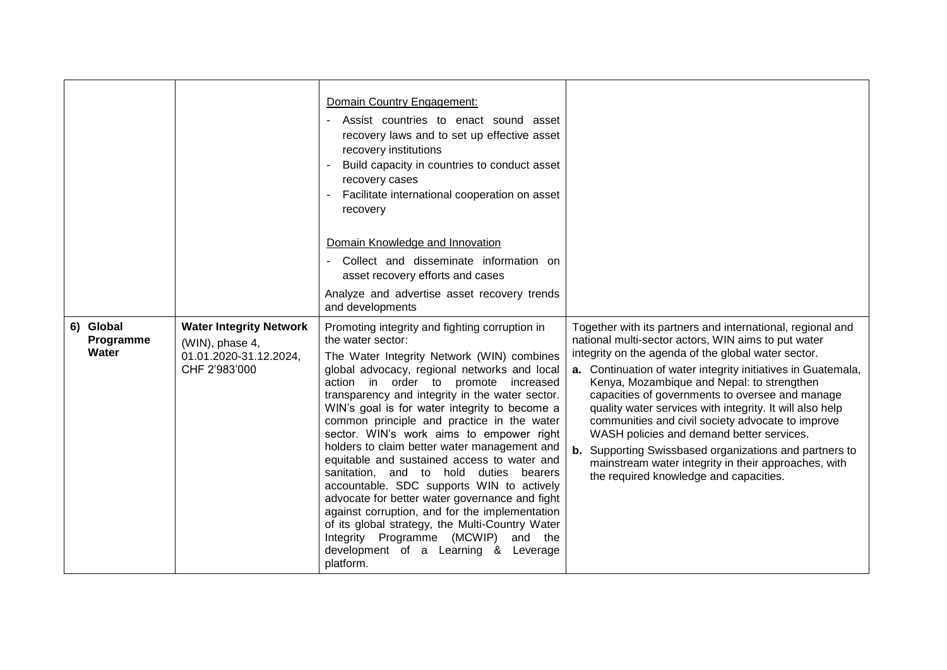|                                 |                                                                                              | Domain Country Engagement:<br>Assist countries to enact sound asset<br>recovery laws and to set up effective asset<br>recovery institutions<br>Build capacity in countries to conduct asset<br>recovery cases<br>Facilitate international cooperation on asset<br>recovery                                                                                                                                                                                                                                                                                                                                                                                                                                                                                                                                                                          |                                                                                                                                                                                                                                                                                                                                                                                                                                                                                                                                                                                                                                                                            |
|---------------------------------|----------------------------------------------------------------------------------------------|-----------------------------------------------------------------------------------------------------------------------------------------------------------------------------------------------------------------------------------------------------------------------------------------------------------------------------------------------------------------------------------------------------------------------------------------------------------------------------------------------------------------------------------------------------------------------------------------------------------------------------------------------------------------------------------------------------------------------------------------------------------------------------------------------------------------------------------------------------|----------------------------------------------------------------------------------------------------------------------------------------------------------------------------------------------------------------------------------------------------------------------------------------------------------------------------------------------------------------------------------------------------------------------------------------------------------------------------------------------------------------------------------------------------------------------------------------------------------------------------------------------------------------------------|
|                                 |                                                                                              | Domain Knowledge and Innovation<br>Collect and disseminate information on<br>asset recovery efforts and cases<br>Analyze and advertise asset recovery trends<br>and developments                                                                                                                                                                                                                                                                                                                                                                                                                                                                                                                                                                                                                                                                    |                                                                                                                                                                                                                                                                                                                                                                                                                                                                                                                                                                                                                                                                            |
| 6) Global<br>Programme<br>Water | <b>Water Integrity Network</b><br>(WIN), phase 4,<br>01.01.2020-31.12.2024,<br>CHF 2'983'000 | Promoting integrity and fighting corruption in<br>the water sector:<br>The Water Integrity Network (WIN) combines<br>global advocacy, regional networks and local<br>action in order to promote increased<br>transparency and integrity in the water sector.<br>WIN's goal is for water integrity to become a<br>common principle and practice in the water<br>sector. WIN's work aims to empower right<br>holders to claim better water management and<br>equitable and sustained access to water and<br>sanitation, and to hold duties bearers<br>accountable. SDC supports WIN to actively<br>advocate for better water governance and fight<br>against corruption, and for the implementation<br>of its global strategy, the Multi-Country Water<br>Integrity Programme (MCWIP)<br>and the<br>development of a Learning & Leverage<br>platform. | Together with its partners and international, regional and<br>national multi-sector actors, WIN aims to put water<br>integrity on the agenda of the global water sector.<br>a. Continuation of water integrity initiatives in Guatemala,<br>Kenya, Mozambique and Nepal: to strengthen<br>capacities of governments to oversee and manage<br>quality water services with integrity. It will also help<br>communities and civil society advocate to improve<br>WASH policies and demand better services.<br><b>b.</b> Supporting Swissbased organizations and partners to<br>mainstream water integrity in their approaches, with<br>the required knowledge and capacities. |